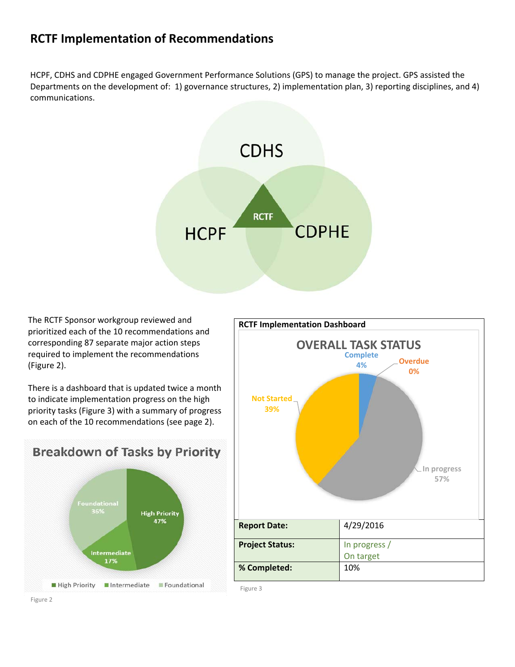## **RCTF Implementation of Recommendations**

HCPF, CDHS and CDPHE engaged Government Performance Solutions (GPS) to manage the project. GPS assisted the Departments on the development of: 1) governance structures, 2) implementation plan, 3) reporting disciplines, and 4) communications.



The RCTF Sponsor workgroup reviewed and prioritized each of the 10 recommendations and corresponding 87 separate major action steps required to implement the recommendations (Figure 2).

There is a dashboard that is updated twice a month to indicate implementation progress on the high priority tasks (Figure 3) with a summary of progress on each of the 10 recommendations (see page 2).





Figure 3